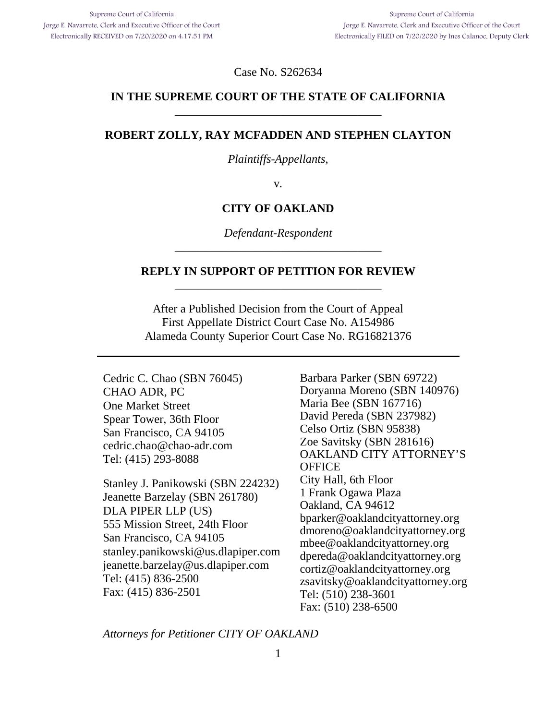Case No. S262634

### **IN THE SUPREME COURT OF THE STATE OF CALIFORNIA**  \_\_\_\_\_\_\_\_\_\_\_\_\_\_\_\_\_\_\_\_\_\_\_\_\_\_\_\_\_\_\_\_\_\_\_

#### **ROBERT ZOLLY, RAY MCFADDEN AND STEPHEN CLAYTON**

*Plaintiffs-Appellants*,

v.

#### **CITY OF OAKLAND**

*Defendant-Respondent*  \_\_\_\_\_\_\_\_\_\_\_\_\_\_\_\_\_\_\_\_\_\_\_\_\_\_\_\_\_\_\_\_\_\_\_

#### **REPLY IN SUPPORT OF PETITION FOR REVIEW**  \_\_\_\_\_\_\_\_\_\_\_\_\_\_\_\_\_\_\_\_\_\_\_\_\_\_\_\_\_\_\_\_\_\_\_

After a Published Decision from the Court of Appeal First Appellate District Court Case No. A154986 Alameda County Superior Court Case No. RG16821376

Cedric C. Chao (SBN 76045) CHAO ADR, PC One Market Street Spear Tower, 36th Floor San Francisco, CA 94105 cedric.chao@chao-adr.com Tel: (415) 293-8088

Stanley J. Panikowski (SBN 224232) Jeanette Barzelay (SBN 261780) DLA PIPER LLP (US) 555 Mission Street, 24th Floor San Francisco, CA 94105 stanley.panikowski@us.dlapiper.com jeanette.barzelay@us.dlapiper.com Tel: (415) 836-2500 Fax: (415) 836-2501

Barbara Parker (SBN 69722) Doryanna Moreno (SBN 140976) Maria Bee (SBN 167716) David Pereda (SBN 237982) Celso Ortiz (SBN 95838) Zoe Savitsky (SBN 281616) OAKLAND CITY ATTORNEY'S **OFFICE** City Hall, 6th Floor 1 Frank Ogawa Plaza Oakland, CA 94612 bparker@oaklandcityattorney.org dmoreno@oaklandcityattorney.org mbee@oaklandcityattorney.org dpereda@oaklandcityattorney.org cortiz@oaklandcityattorney.org zsavitsky@oaklandcityattorney.org Tel: (510) 238-3601 Fax: (510) 238-6500

*Attorneys for Petitioner CITY OF OAKLAND*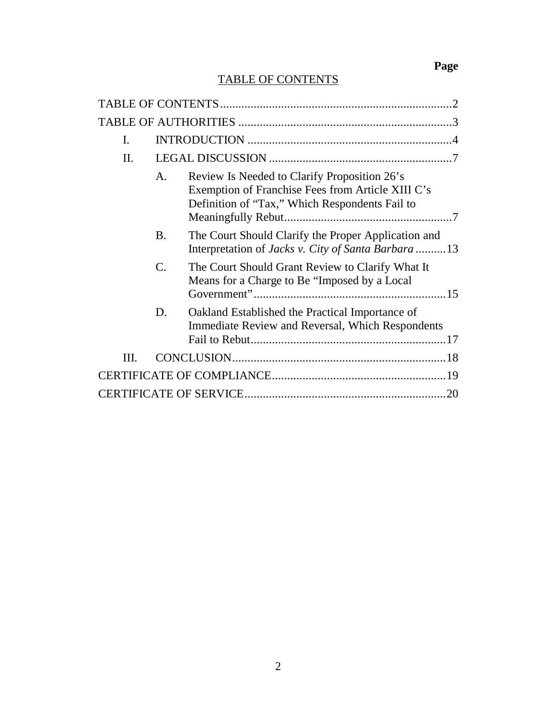# **Page**

# TABLE OF CONTENTS

| I.   |           |                                                                                                                                                     |  |  |  |  |
|------|-----------|-----------------------------------------------------------------------------------------------------------------------------------------------------|--|--|--|--|
| II.  |           |                                                                                                                                                     |  |  |  |  |
|      | A.        | Review Is Needed to Clarify Proposition 26's<br>Exemption of Franchise Fees from Article XIII C's<br>Definition of "Tax," Which Respondents Fail to |  |  |  |  |
|      | <b>B.</b> | The Court Should Clarify the Proper Application and<br>Interpretation of Jacks v. City of Santa Barbara 13                                          |  |  |  |  |
|      | C.        | The Court Should Grant Review to Clarify What It<br>Means for a Charge to Be "Imposed by a Local                                                    |  |  |  |  |
|      | D.        | Oakland Established the Practical Importance of<br><b>Immediate Review and Reversal, Which Respondents</b>                                          |  |  |  |  |
| III. |           |                                                                                                                                                     |  |  |  |  |
|      |           |                                                                                                                                                     |  |  |  |  |
|      |           |                                                                                                                                                     |  |  |  |  |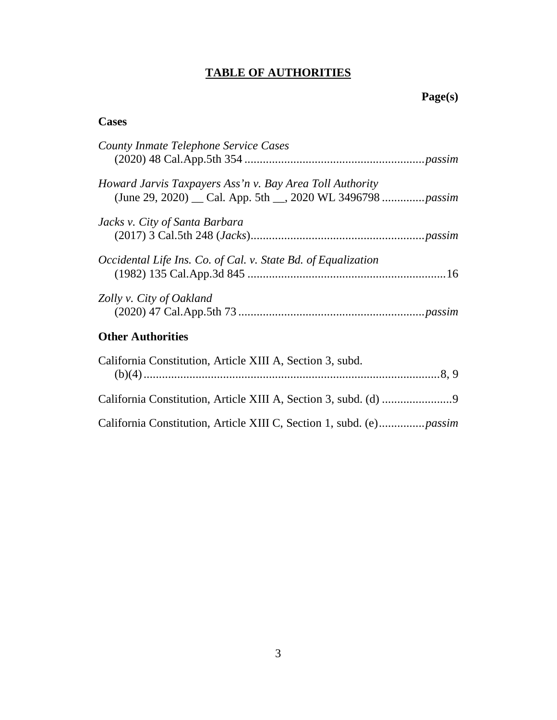# **TABLE OF AUTHORITIES**

# **Page(s)**

# **Cases**

| County Inmate Telephone Service Cases                         |
|---------------------------------------------------------------|
|                                                               |
| Howard Jarvis Taxpayers Ass'n v. Bay Area Toll Authority      |
| Jacks v. City of Santa Barbara                                |
|                                                               |
| Occidental Life Ins. Co. of Cal. v. State Bd. of Equalization |
|                                                               |
| Zolly v. City of Oakland                                      |
| <b>Other Authorities</b>                                      |
| California Constitution, Article XIII A, Section 3, subd.     |
|                                                               |
|                                                               |

California Constitution, Article XIII C, Section 1, subd. (e) ............... *passim*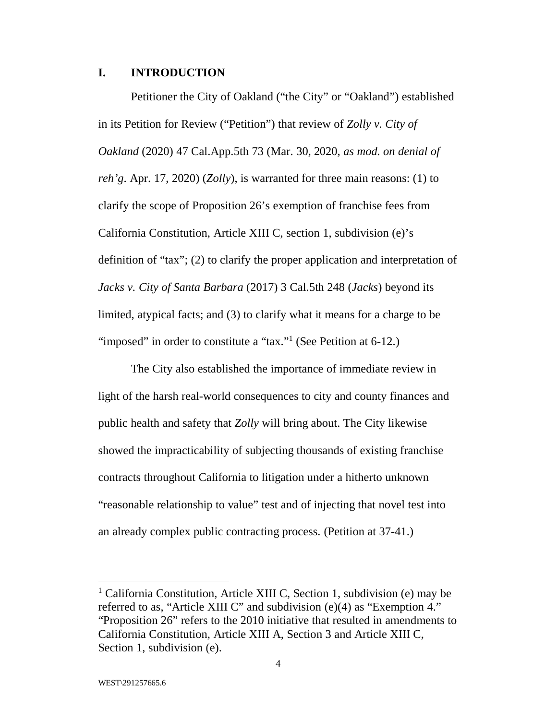#### **I. INTRODUCTION**

Petitioner the City of Oakland ("the City" or "Oakland") established in its Petition for Review ("Petition") that review of *Zolly v. City of Oakland* (2020) 47 Cal.App.5th 73 (Mar. 30, 2020, *as mod. on denial of reh'g*. Apr. 17, 2020) (*Zolly*), is warranted for three main reasons: (1) to clarify the scope of Proposition 26's exemption of franchise fees from California Constitution, Article XIII C, section 1, subdivision (e)'s definition of "tax"; (2) to clarify the proper application and interpretation of *Jacks v. City of Santa Barbara* (2017) 3 Cal.5th 248 (*Jacks*) beyond its limited, atypical facts; and (3) to clarify what it means for a charge to be "imposed" in order to constitute a "tax."<sup>1</sup> (See Petition at  $6-12$ .)

The City also established the importance of immediate review in light of the harsh real-world consequences to city and county finances and public health and safety that *Zolly* will bring about. The City likewise showed the impracticability of subjecting thousands of existing franchise contracts throughout California to litigation under a hitherto unknown "reasonable relationship to value" test and of injecting that novel test into an already complex public contracting process. (Petition at 37-41.)

-

<sup>&</sup>lt;sup>1</sup> California Constitution, Article XIII C, Section 1, subdivision (e) may be referred to as, "Article XIII C" and subdivision (e)(4) as "Exemption 4." "Proposition 26" refers to the 2010 initiative that resulted in amendments to California Constitution, Article XIII A, Section 3 and Article XIII C, Section 1, subdivision (e).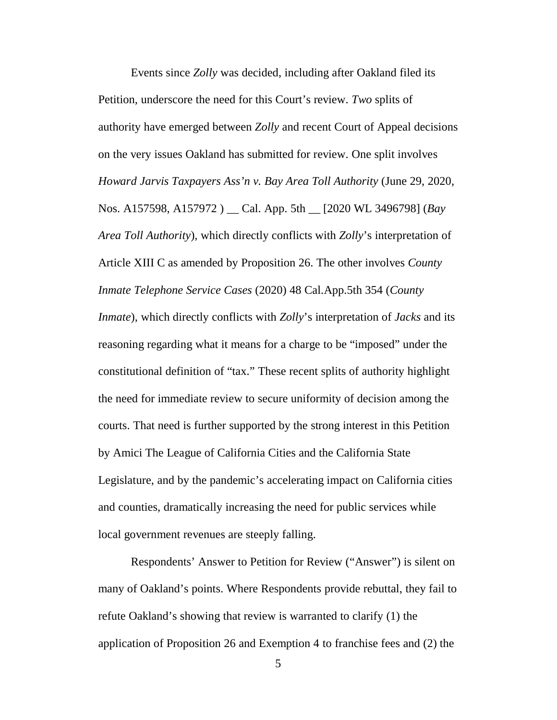Events since *Zolly* was decided, including after Oakland filed its Petition, underscore the need for this Court's review. *Two* splits of authority have emerged between *Zolly* and recent Court of Appeal decisions on the very issues Oakland has submitted for review. One split involves *Howard Jarvis Taxpayers Ass'n v. Bay Area Toll Authority* (June 29, 2020, Nos. A157598, A157972 ) \_\_ Cal. App. 5th \_\_ [2020 WL 3496798] (*Bay Area Toll Authority*), which directly conflicts with *Zolly*'s interpretation of Article XIII C as amended by Proposition 26. The other involves *County Inmate Telephone Service Cases* (2020) 48 Cal.App.5th 354 (*County Inmate*), which directly conflicts with *Zolly*'s interpretation of *Jacks* and its reasoning regarding what it means for a charge to be "imposed" under the constitutional definition of "tax." These recent splits of authority highlight the need for immediate review to secure uniformity of decision among the courts. That need is further supported by the strong interest in this Petition by Amici The League of California Cities and the California State Legislature, and by the pandemic's accelerating impact on California cities and counties, dramatically increasing the need for public services while local government revenues are steeply falling.

Respondents' Answer to Petition for Review ("Answer") is silent on many of Oakland's points. Where Respondents provide rebuttal, they fail to refute Oakland's showing that review is warranted to clarify (1) the application of Proposition 26 and Exemption 4 to franchise fees and (2) the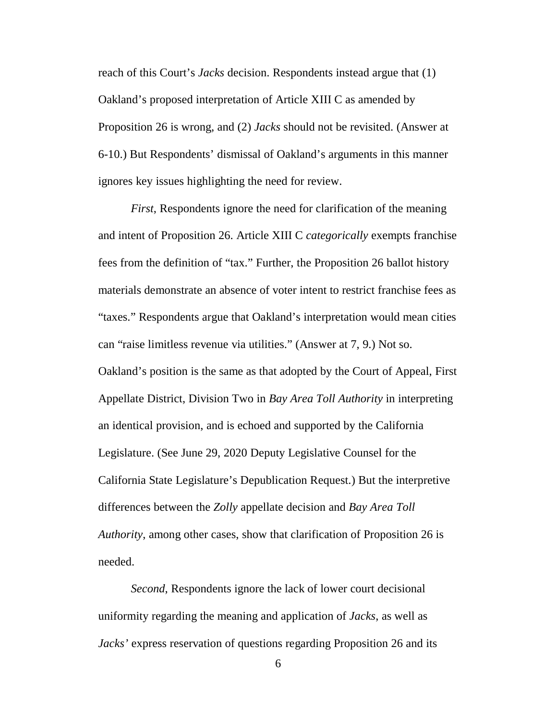reach of this Court's *Jacks* decision. Respondents instead argue that (1) Oakland's proposed interpretation of Article XIII C as amended by Proposition 26 is wrong, and (2) *Jacks* should not be revisited. (Answer at 6-10.) But Respondents' dismissal of Oakland's arguments in this manner ignores key issues highlighting the need for review.

*First*, Respondents ignore the need for clarification of the meaning and intent of Proposition 26. Article XIII C *categorically* exempts franchise fees from the definition of "tax." Further, the Proposition 26 ballot history materials demonstrate an absence of voter intent to restrict franchise fees as "taxes." Respondents argue that Oakland's interpretation would mean cities can "raise limitless revenue via utilities." (Answer at 7, 9.) Not so. Oakland's position is the same as that adopted by the Court of Appeal, First Appellate District, Division Two in *Bay Area Toll Authority* in interpreting an identical provision, and is echoed and supported by the California Legislature. (See June 29, 2020 Deputy Legislative Counsel for the California State Legislature's Depublication Request.) But the interpretive differences between the *Zolly* appellate decision and *Bay Area Toll Authority*, among other cases, show that clarification of Proposition 26 is needed.

*Second*, Respondents ignore the lack of lower court decisional uniformity regarding the meaning and application of *Jacks*, as well as *Jacks'* express reservation of questions regarding Proposition 26 and its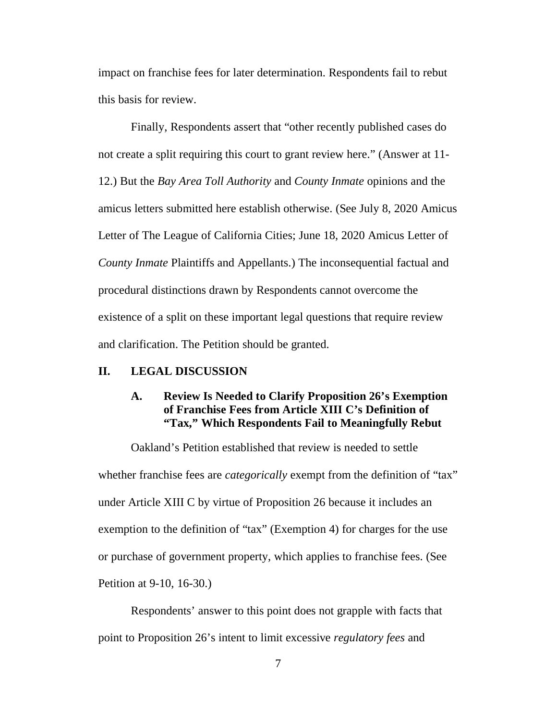impact on franchise fees for later determination. Respondents fail to rebut this basis for review.

Finally, Respondents assert that "other recently published cases do not create a split requiring this court to grant review here." (Answer at 11- 12.) But the *Bay Area Toll Authority* and *County Inmate* opinions and the amicus letters submitted here establish otherwise. (See July 8, 2020 Amicus Letter of The League of California Cities; June 18, 2020 Amicus Letter of *County Inmate* Plaintiffs and Appellants.) The inconsequential factual and procedural distinctions drawn by Respondents cannot overcome the existence of a split on these important legal questions that require review and clarification. The Petition should be granted.

### **II. LEGAL DISCUSSION**

#### **A. Review Is Needed to Clarify Proposition 26's Exemption of Franchise Fees from Article XIII C's Definition of "Tax," Which Respondents Fail to Meaningfully Rebut**

Oakland's Petition established that review is needed to settle whether franchise fees are *categorically* exempt from the definition of "tax" under Article XIII C by virtue of Proposition 26 because it includes an exemption to the definition of "tax" (Exemption 4) for charges for the use or purchase of government property, which applies to franchise fees. (See Petition at 9-10, 16-30.)

Respondents' answer to this point does not grapple with facts that point to Proposition 26's intent to limit excessive *regulatory fees* and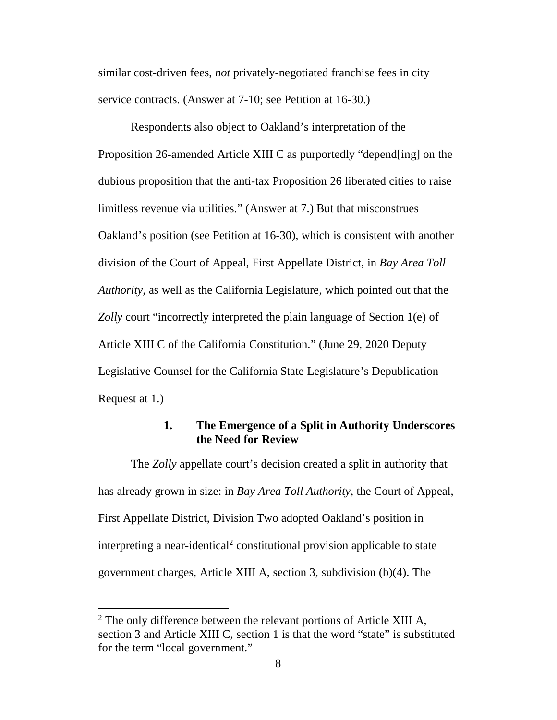similar cost-driven fees, *not* privately-negotiated franchise fees in city service contracts. (Answer at 7-10; see Petition at 16-30.)

Respondents also object to Oakland's interpretation of the Proposition 26-amended Article XIII C as purportedly "depend[ing] on the dubious proposition that the anti-tax Proposition 26 liberated cities to raise limitless revenue via utilities." (Answer at 7.) But that misconstrues Oakland's position (see Petition at 16-30), which is consistent with another division of the Court of Appeal, First Appellate District, in *Bay Area Toll Authority*, as well as the California Legislature, which pointed out that the *Zolly* court "incorrectly interpreted the plain language of Section 1(e) of Article XIII C of the California Constitution." (June 29, 2020 Deputy Legislative Counsel for the California State Legislature's Depublication Request at 1.)

## **1. The Emergence of a Split in Authority Underscores the Need for Review**

The *Zolly* appellate court's decision created a split in authority that has already grown in size: in *Bay Area Toll Authority*, the Court of Appeal, First Appellate District, Division Two adopted Oakland's position in interpreting a near-identical<sup>2</sup> constitutional provision applicable to state government charges, Article XIII A, section 3, subdivision (b)(4). The

 $\overline{a}$ 

 $2$  The only difference between the relevant portions of Article XIII A, section 3 and Article XIII C, section 1 is that the word "state" is substituted for the term "local government."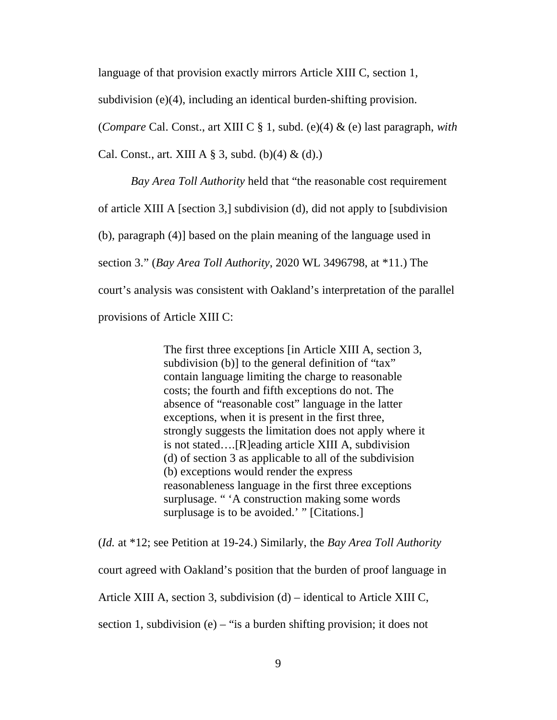language of that provision exactly mirrors Article XIII C, section 1,

subdivision (e)(4), including an identical burden-shifting provision.

(*Compare* Cal. Const., art XIII C § 1, subd. (e)(4) & (e) last paragraph, *with* 

Cal. Const., art. XIII A  $\S$  3, subd. (b)(4) & (d).)

*Bay Area Toll Authority* held that "the reasonable cost requirement

of article XIII A [section 3,] subdivision (d), did not apply to [subdivision

(b), paragraph (4)] based on the plain meaning of the language used in

section 3." (*Bay Area Toll Authority*, 2020 WL 3496798, at \*11.) The

court's analysis was consistent with Oakland's interpretation of the parallel

provisions of Article XIII C:

The first three exceptions [in Article XIII A, section 3, subdivision (b)] to the general definition of "tax" contain language limiting the charge to reasonable costs; the fourth and fifth exceptions do not. The absence of "reasonable cost" language in the latter exceptions, when it is present in the first three, strongly suggests the limitation does not apply where it is not stated….[R]eading article XIII A, subdivision (d) of section 3 as applicable to all of the subdivision (b) exceptions would render the express reasonableness language in the first three exceptions surplusage. " 'A construction making some words surplusage is to be avoided.' " [Citations.]

(*Id.* at \*12; see Petition at 19-24.) Similarly, the *Bay Area Toll Authority*  court agreed with Oakland's position that the burden of proof language in Article XIII A, section 3, subdivision (d) – identical to Article XIII C, section 1, subdivision (e) – "is a burden shifting provision; it does not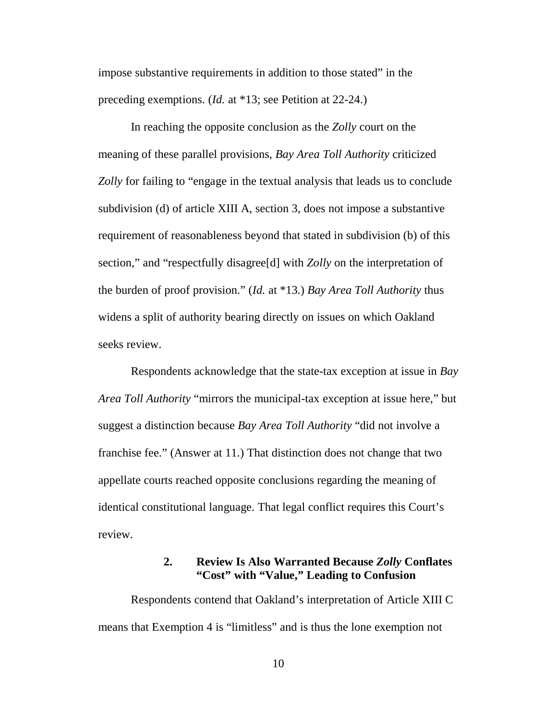impose substantive requirements in addition to those stated" in the preceding exemptions. (*Id.* at \*13; see Petition at 22-24.)

In reaching the opposite conclusion as the *Zolly* court on the meaning of these parallel provisions, *Bay Area Toll Authority* criticized *Zolly* for failing to "engage in the textual analysis that leads us to conclude subdivision (d) of article XIII A, section 3, does not impose a substantive requirement of reasonableness beyond that stated in subdivision (b) of this section," and "respectfully disagree[d] with *Zolly* on the interpretation of the burden of proof provision." (*Id.* at \*13.) *Bay Area Toll Authority* thus widens a split of authority bearing directly on issues on which Oakland seeks review.

Respondents acknowledge that the state-tax exception at issue in *Bay Area Toll Authority* "mirrors the municipal-tax exception at issue here," but suggest a distinction because *Bay Area Toll Authority* "did not involve a franchise fee." (Answer at 11.) That distinction does not change that two appellate courts reached opposite conclusions regarding the meaning of identical constitutional language. That legal conflict requires this Court's review.

# **2. Review Is Also Warranted Because** *Zolly* **Conflates "Cost" with "Value," Leading to Confusion**

Respondents contend that Oakland's interpretation of Article XIII C means that Exemption 4 is "limitless" and is thus the lone exemption not

10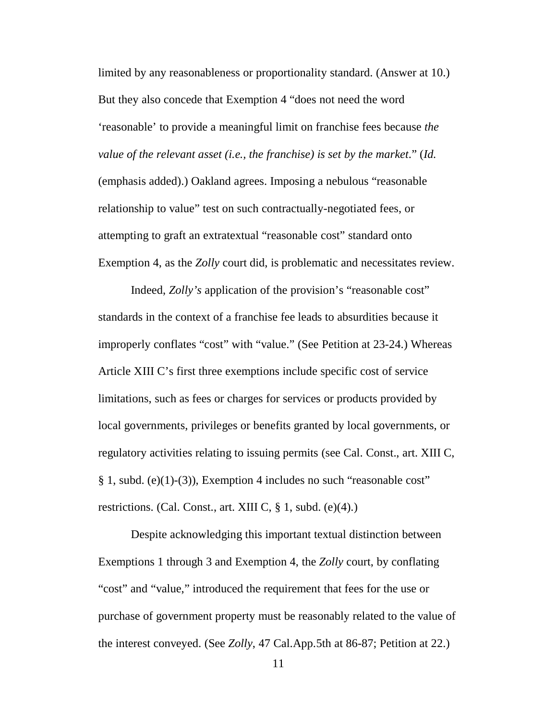limited by any reasonableness or proportionality standard. (Answer at 10.) But they also concede that Exemption 4 "does not need the word 'reasonable' to provide a meaningful limit on franchise fees because *the value of the relevant asset (i.e., the franchise) is set by the market*." (*Id.* (emphasis added).) Oakland agrees. Imposing a nebulous "reasonable relationship to value" test on such contractually-negotiated fees, or attempting to graft an extratextual "reasonable cost" standard onto Exemption 4, as the *Zolly* court did, is problematic and necessitates review.

Indeed, *Zolly's* application of the provision's "reasonable cost" standards in the context of a franchise fee leads to absurdities because it improperly conflates "cost" with "value." (See Petition at 23-24.) Whereas Article XIII C's first three exemptions include specific cost of service limitations, such as fees or charges for services or products provided by local governments, privileges or benefits granted by local governments, or regulatory activities relating to issuing permits (see Cal. Const., art. XIII C, § 1, subd. (e)(1)-(3)), Exemption 4 includes no such "reasonable cost" restrictions. (Cal. Const., art. XIII C,  $\S$  1, subd. (e)(4).)

Despite acknowledging this important textual distinction between Exemptions 1 through 3 and Exemption 4, the *Zolly* court, by conflating "cost" and "value," introduced the requirement that fees for the use or purchase of government property must be reasonably related to the value of the interest conveyed. (See *Zolly*, 47 Cal.App.5th at 86-87; Petition at 22.)

11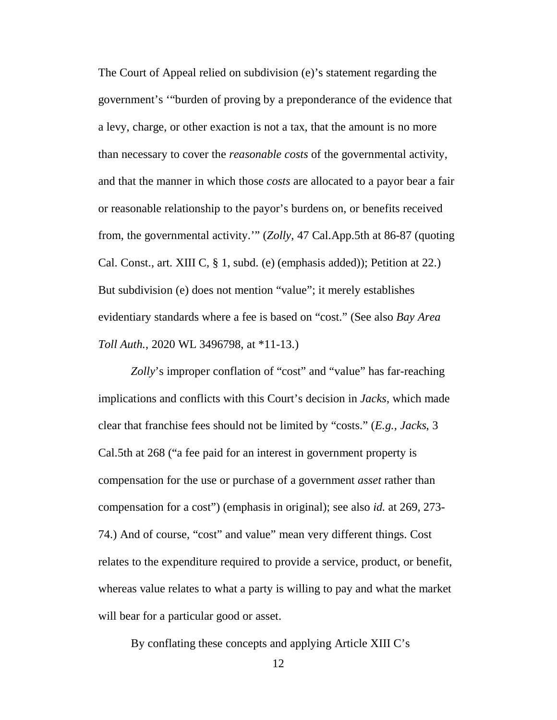The Court of Appeal relied on subdivision (e)'s statement regarding the government's '"burden of proving by a preponderance of the evidence that a levy, charge, or other exaction is not a tax, that the amount is no more than necessary to cover the *reasonable costs* of the governmental activity, and that the manner in which those *costs* are allocated to a payor bear a fair or reasonable relationship to the payor's burdens on, or benefits received from, the governmental activity.'" (*Zolly*, 47 Cal.App.5th at 86-87 (quoting Cal. Const., art. XIII C, § 1, subd. (e) (emphasis added)); Petition at 22.) But subdivision (e) does not mention "value"; it merely establishes evidentiary standards where a fee is based on "cost." (See also *Bay Area Toll Auth.*, 2020 WL 3496798, at \*11-13.)

*Zolly*'s improper conflation of "cost" and "value" has far-reaching implications and conflicts with this Court's decision in *Jacks*, which made clear that franchise fees should not be limited by "costs." (*E.g.*, *Jacks*, 3 Cal.5th at 268 ("a fee paid for an interest in government property is compensation for the use or purchase of a government *asset* rather than compensation for a cost") (emphasis in original); see also *id.* at 269, 273- 74.) And of course, "cost" and value" mean very different things. Cost relates to the expenditure required to provide a service, product, or benefit, whereas value relates to what a party is willing to pay and what the market will bear for a particular good or asset.

By conflating these concepts and applying Article XIII C's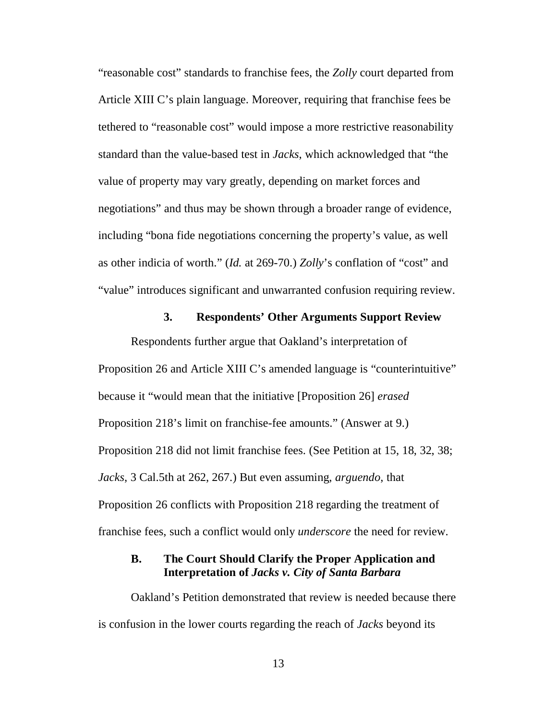"reasonable cost" standards to franchise fees, the *Zolly* court departed from Article XIII C's plain language. Moreover, requiring that franchise fees be tethered to "reasonable cost" would impose a more restrictive reasonability standard than the value-based test in *Jacks*, which acknowledged that "the value of property may vary greatly, depending on market forces and negotiations" and thus may be shown through a broader range of evidence, including "bona fide negotiations concerning the property's value, as well as other indicia of worth." (*Id.* at 269-70.) *Zolly*'s conflation of "cost" and "value" introduces significant and unwarranted confusion requiring review.

#### **3. Respondents' Other Arguments Support Review**

Respondents further argue that Oakland's interpretation of Proposition 26 and Article XIII C's amended language is "counterintuitive" because it "would mean that the initiative [Proposition 26] *erased* Proposition 218's limit on franchise-fee amounts." (Answer at 9.) Proposition 218 did not limit franchise fees. (See Petition at 15, 18, 32, 38; *Jacks*, 3 Cal.5th at 262, 267.) But even assuming, *arguendo*, that Proposition 26 conflicts with Proposition 218 regarding the treatment of franchise fees, such a conflict would only *underscore* the need for review.

#### **B. The Court Should Clarify the Proper Application and Interpretation of** *Jacks v. City of Santa Barbara*

Oakland's Petition demonstrated that review is needed because there is confusion in the lower courts regarding the reach of *Jacks* beyond its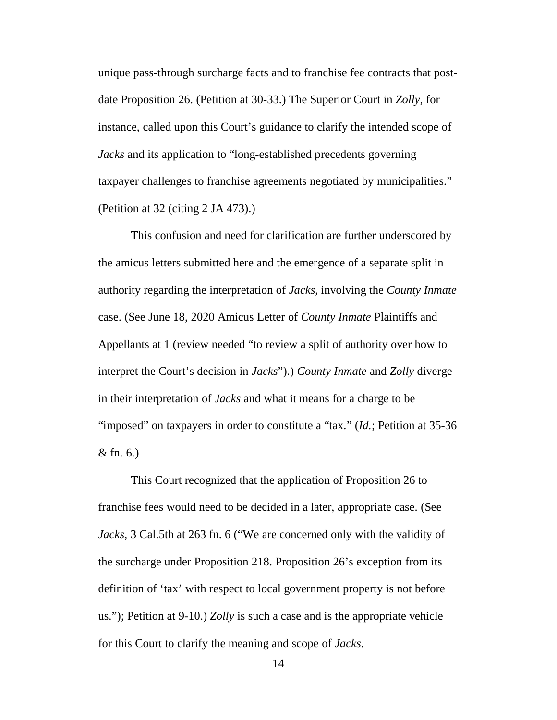unique pass-through surcharge facts and to franchise fee contracts that postdate Proposition 26. (Petition at 30-33.) The Superior Court in *Zolly*, for instance, called upon this Court's guidance to clarify the intended scope of *Jacks* and its application to "long-established precedents governing taxpayer challenges to franchise agreements negotiated by municipalities." (Petition at 32 (citing 2 JA 473).)

This confusion and need for clarification are further underscored by the amicus letters submitted here and the emergence of a separate split in authority regarding the interpretation of *Jacks*, involving the *County Inmate*  case. (See June 18, 2020 Amicus Letter of *County Inmate* Plaintiffs and Appellants at 1 (review needed "to review a split of authority over how to interpret the Court's decision in *Jacks*").) *County Inmate* and *Zolly* diverge in their interpretation of *Jacks* and what it means for a charge to be "imposed" on taxpayers in order to constitute a "tax." (*Id.*; Petition at 35-36 & fn. 6.)

This Court recognized that the application of Proposition 26 to franchise fees would need to be decided in a later, appropriate case. (See *Jacks*, 3 Cal.5th at 263 fn. 6 ("We are concerned only with the validity of the surcharge under Proposition 218. Proposition 26's exception from its definition of 'tax' with respect to local government property is not before us."); Petition at 9-10.) *Zolly* is such a case and is the appropriate vehicle for this Court to clarify the meaning and scope of *Jacks*.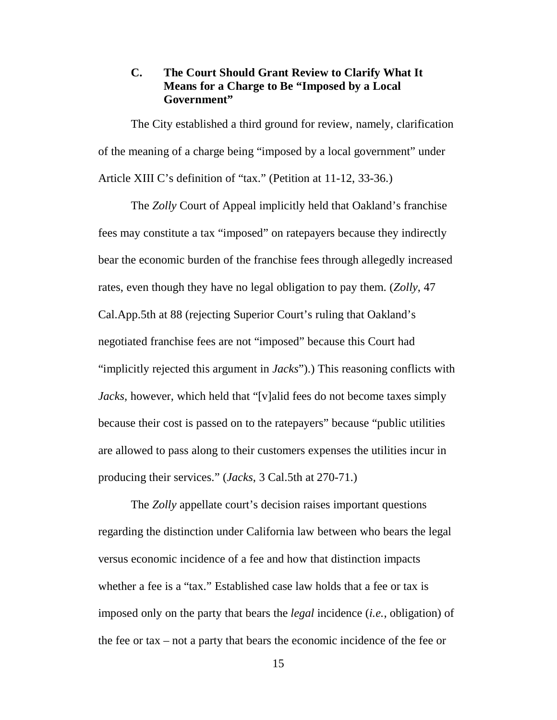# **C. The Court Should Grant Review to Clarify What It Means for a Charge to Be "Imposed by a Local Government"**

The City established a third ground for review, namely, clarification of the meaning of a charge being "imposed by a local government" under Article XIII C's definition of "tax." (Petition at 11-12, 33-36.)

The *Zolly* Court of Appeal implicitly held that Oakland's franchise fees may constitute a tax "imposed" on ratepayers because they indirectly bear the economic burden of the franchise fees through allegedly increased rates, even though they have no legal obligation to pay them. (*Zolly*, 47 Cal.App.5th at 88 (rejecting Superior Court's ruling that Oakland's negotiated franchise fees are not "imposed" because this Court had "implicitly rejected this argument in *Jacks*").) This reasoning conflicts with *Jacks*, however, which held that "[v]alid fees do not become taxes simply because their cost is passed on to the ratepayers" because "public utilities are allowed to pass along to their customers expenses the utilities incur in producing their services." (*Jacks*, 3 Cal.5th at 270-71.)

The *Zolly* appellate court's decision raises important questions regarding the distinction under California law between who bears the legal versus economic incidence of a fee and how that distinction impacts whether a fee is a "tax." Established case law holds that a fee or tax is imposed only on the party that bears the *legal* incidence (*i.e.*, obligation) of the fee or tax – not a party that bears the economic incidence of the fee or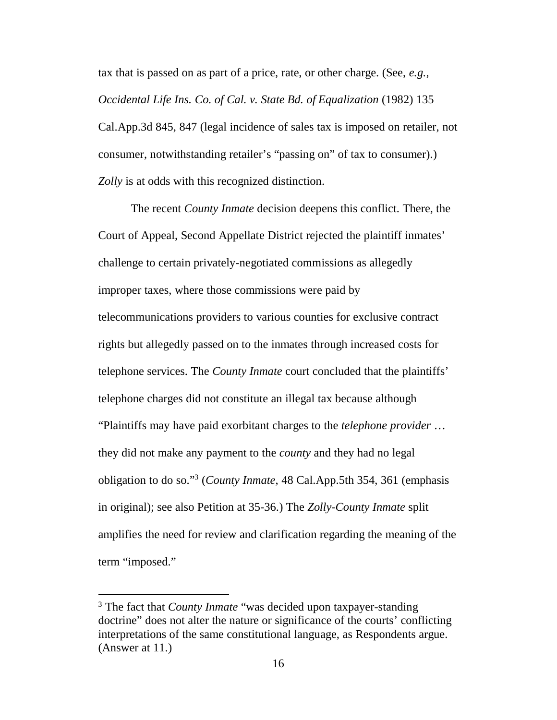tax that is passed on as part of a price, rate, or other charge. (See, *e.g.*, *Occidental Life Ins. Co. of Cal. v. State Bd. of Equalization* (1982) 135 Cal.App.3d 845, 847 (legal incidence of sales tax is imposed on retailer, not consumer, notwithstanding retailer's "passing on" of tax to consumer).) *Zolly* is at odds with this recognized distinction.

The recent *County Inmate* decision deepens this conflict. There, the Court of Appeal, Second Appellate District rejected the plaintiff inmates' challenge to certain privately-negotiated commissions as allegedly improper taxes, where those commissions were paid by telecommunications providers to various counties for exclusive contract rights but allegedly passed on to the inmates through increased costs for telephone services. The *County Inmate* court concluded that the plaintiffs' telephone charges did not constitute an illegal tax because although "Plaintiffs may have paid exorbitant charges to the *telephone provider* … they did not make any payment to the *county* and they had no legal obligation to do so."<sup>3</sup> (*County Inmate*, 48 Cal.App.5th 354, 361 (emphasis in original); see also Petition at 35-36.) The *Zolly*-*County Inmate* split amplifies the need for review and clarification regarding the meaning of the term "imposed."

-

<sup>&</sup>lt;sup>3</sup> The fact that *County Inmate* "was decided upon taxpayer-standing doctrine" does not alter the nature or significance of the courts' conflicting interpretations of the same constitutional language, as Respondents argue. (Answer at 11.)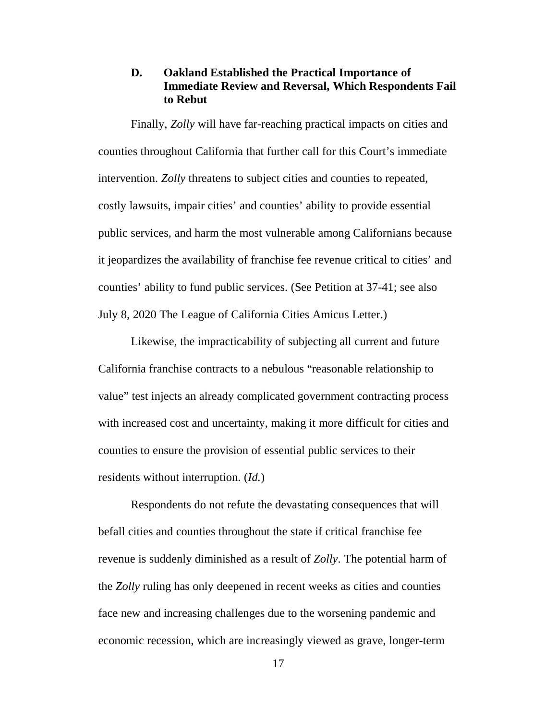## **D. Oakland Established the Practical Importance of Immediate Review and Reversal, Which Respondents Fail to Rebut**

Finally, *Zolly* will have far-reaching practical impacts on cities and counties throughout California that further call for this Court's immediate intervention. *Zolly* threatens to subject cities and counties to repeated, costly lawsuits, impair cities' and counties' ability to provide essential public services, and harm the most vulnerable among Californians because it jeopardizes the availability of franchise fee revenue critical to cities' and counties' ability to fund public services. (See Petition at 37-41; see also July 8, 2020 The League of California Cities Amicus Letter.)

Likewise, the impracticability of subjecting all current and future California franchise contracts to a nebulous "reasonable relationship to value" test injects an already complicated government contracting process with increased cost and uncertainty, making it more difficult for cities and counties to ensure the provision of essential public services to their residents without interruption. (*Id.*)

Respondents do not refute the devastating consequences that will befall cities and counties throughout the state if critical franchise fee revenue is suddenly diminished as a result of *Zolly*. The potential harm of the *Zolly* ruling has only deepened in recent weeks as cities and counties face new and increasing challenges due to the worsening pandemic and economic recession, which are increasingly viewed as grave, longer-term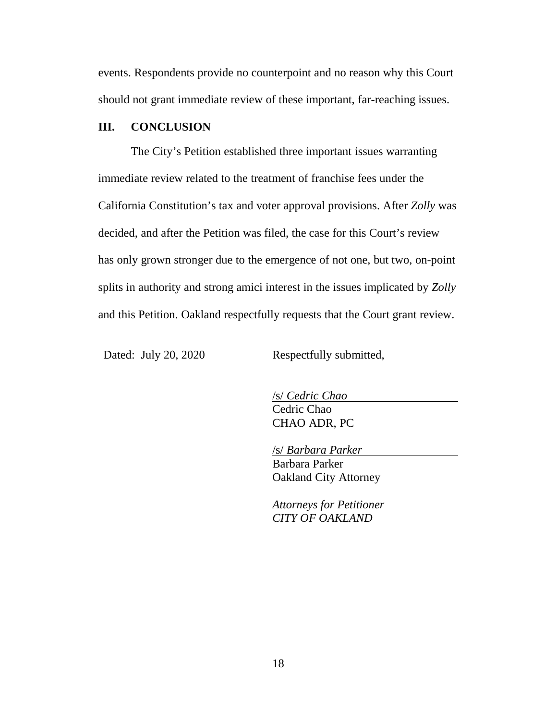events. Respondents provide no counterpoint and no reason why this Court should not grant immediate review of these important, far-reaching issues.

#### **III. CONCLUSION**

The City's Petition established three important issues warranting immediate review related to the treatment of franchise fees under the California Constitution's tax and voter approval provisions. After *Zolly* was decided, and after the Petition was filed, the case for this Court's review has only grown stronger due to the emergence of not one, but two, on-point splits in authority and strong amici interest in the issues implicated by *Zolly* and this Petition. Oakland respectfully requests that the Court grant review.

Dated: July 20, 2020 Respectfully submitted,

/s/ *Cedric Chao* Cedric Chao CHAO ADR, PC

/s/ *Barbara Parker*

Barbara Parker Oakland City Attorney

*Attorneys for Petitioner CITY OF OAKLAND*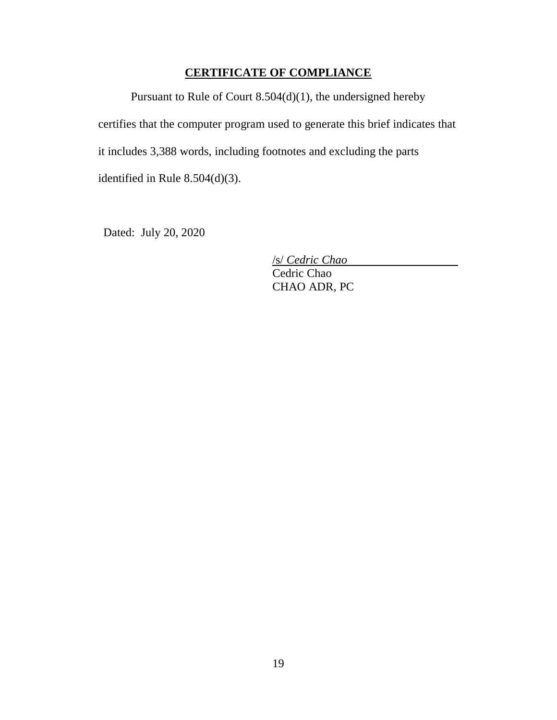# **CERTIFICATE OF COMPLIANCE**

Pursuant to Rule of Court 8.504(d)(1), the undersigned hereby certifies that the computer program used to generate this brief indicates that it includes 3,388 words, including footnotes and excluding the parts identified in Rule 8.504(d)(3).

Dated: July 20, 2020

/s/ *Cedric Chao*

Cedric Chao CHAO ADR, PC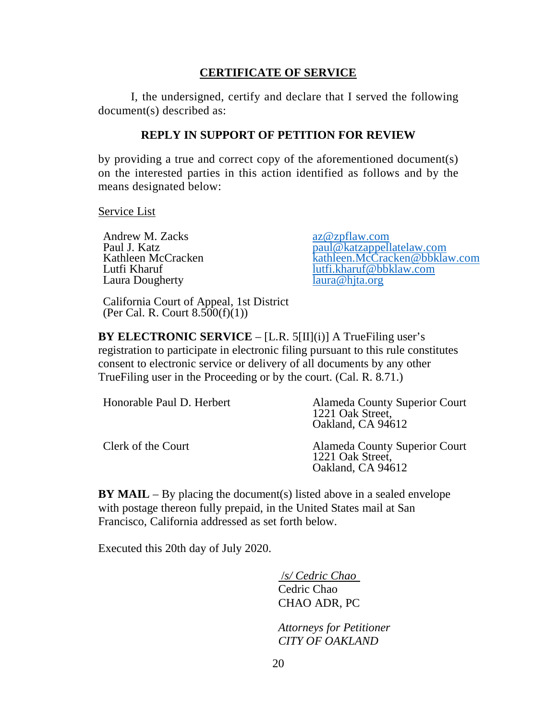## **CERTIFICATE OF SERVICE**

I, the undersigned, certify and declare that I served the following document(s) described as:

#### **REPLY IN SUPPORT OF PETITION FOR REVIEW**

by providing a true and correct copy of the aforementioned document(s) on the interested parties in this action identified as follows and by the means designated below:

Service List

Andrew M. Zacks<br>
Paul J. Katz<br>
Paul J. Katz Laura Dougherty

Paul J. Katz<br>
Kathleen McCracken<br>
Kathleen McCracken<br>
Kathleen McCracken<br>
Kathleen McCracken Kathleen McCracken <br>
Lutfi Kharuf (Kharuf kathleen.McCracken@bbklaw.com lutfi.kharuf@bbklaw.com laura@hjta.org

California Court of Appeal, 1st District (Per Cal. R. Court  $8.500(f)(1)$ )

**BY ELECTRONIC SERVICE** – [L.R. 5[II](i)] A TrueFiling user's registration to participate in electronic filing pursuant to this rule constitutes consent to electronic service or delivery of all documents by any other TrueFiling user in the Proceeding or by the court. (Cal. R. 8.71.)

| Honorable Paul D. Herbert | Alameda County Superior Court<br>1221 Oak Street,<br>Oakland, CA 94612 |
|---------------------------|------------------------------------------------------------------------|
| Clerk of the Court        | Alameda County Superior Court<br>1221 Oak Street,<br>Oakland, CA 94612 |

**BY MAIL** – By placing the document(s) listed above in a sealed envelope with postage thereon fully prepaid, in the United States mail at San Francisco, California addressed as set forth below.

Executed this 20th day of July 2020.

 /*s/ Cedric Chao*  Cedric Chao CHAO ADR, PC

*Attorneys for Petitioner CITY OF OAKLAND*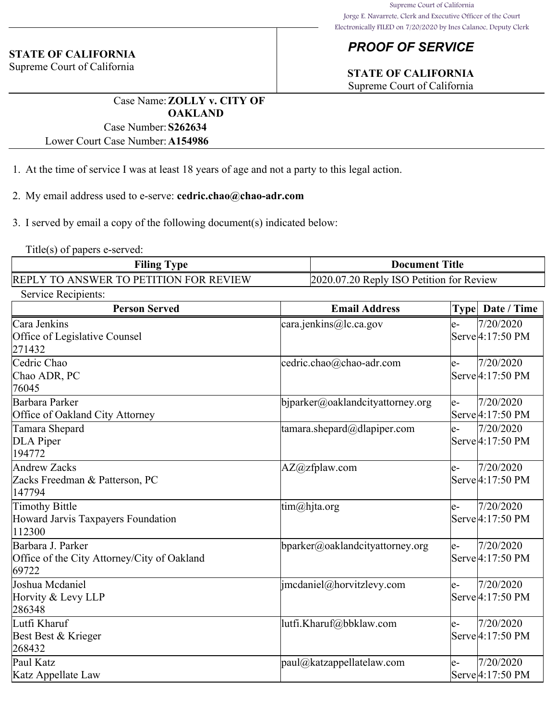# *PROOF OF SERVICE*

# **STATE OF CALIFORNIA**

Supreme Court of California

Case Name:**ZOLLY v. CITY OF OAKLAND** Case Number:**S262634**

Lower Court Case Number:**A154986**

- 1. At the time of service I was at least 18 years of age and not a party to this legal action.
- 2. My email address used to e-serve: **cedric.chao@chao-adr.com**
- 3. I served by email a copy of the following document(s) indicated below:

Title(s) of papers e-served:

| <b>Filing Type</b>                     | <b>Document Title</b>                    |
|----------------------------------------|------------------------------------------|
| REPLY TO ANSWER TO PETITION FOR REVIEW | 2020.07.20 Reply ISO Petition for Review |

| Service Recipients:                                                       |                                             |                                                                   |  |  |  |  |
|---------------------------------------------------------------------------|---------------------------------------------|-------------------------------------------------------------------|--|--|--|--|
| <b>Person Served</b>                                                      | <b>Email Address</b>                        | Date / Time<br><b>Type</b>                                        |  |  |  |  |
| Cara Jenkins<br>Office of Legislative Counsel<br>271432                   | cara.jenkins@lc.ca.gov                      | 7/20/2020<br>le-<br>Serve <sup>[4:17:50 PM]</sup>                 |  |  |  |  |
| Cedric Chao<br>Chao ADR, PC<br>76045                                      | cedric.chao@chao-adr.com                    | 7/20/2020<br>e-<br>Serve <sup>[4:17:50 PM]</sup>                  |  |  |  |  |
| Barbara Parker<br>Office of Oakland City Attorney                         | $\phi$ bjparker@oaklandcityattorney.org     | 7/20/2020<br>$e-$<br>Serve 4:17:50 PM                             |  |  |  |  |
| Tamara Shepard<br>DLA Piper<br>194772                                     | $\tanar\alpha$ .shepard@dlapiper.com        | 7/20/2020<br>$\mathsf{e}\text{-}$<br>Serve <sup>[4:17:50</sup> PM |  |  |  |  |
| <b>Andrew Zacks</b><br>Zacks Freedman & Patterson, PC<br>147794           | $AZ@zf$ plaw.com                            | 7/20/2020<br>le-<br>Serve <sup>[4:17:50</sup> PM                  |  |  |  |  |
| Timothy Bittle<br>Howard Jarvis Taxpayers Foundation<br>112300            | $\lim(\omega)$ hjta.org                     | 7/20/2020<br>le-<br>Serve 4:17:50 PM                              |  |  |  |  |
| Barbara J. Parker<br>Office of the City Attorney/City of Oakland<br>69722 | $\mathbf{b}$ parker@oaklandcityattorney.org | 7/20/2020<br>$e-$<br>Serve <sup>[4:17:50</sup> PM                 |  |  |  |  |
| Joshua Mcdaniel<br>Horvity & Levy LLP<br>286348                           | imcdaniel@horvitzlevy.com                   | 7/20/2020<br>le-<br>Serve <sup>[4:17:50</sup> PM                  |  |  |  |  |
| Lutfi Kharuf<br>Best Best & Krieger<br>268432                             | lutfi.Kharuf@bbklaw.com                     | 7/20/2020<br>e-<br>Serve <sup>[4:17:50</sup> PM                   |  |  |  |  |
| Paul Katz<br>Katz Appellate Law                                           | $ $ paul@katzappellatelaw.com               | 7/20/2020<br>e-<br>Serve 4:17:50 PM                               |  |  |  |  |

### **STATE OF CALIFORNIA**

Supreme Court of California